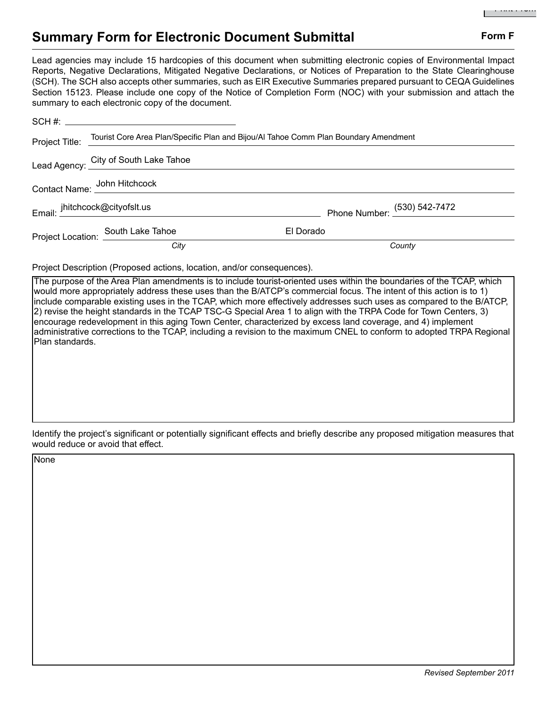## **Summary Form for Electronic Document Submittal Form F Form F**

Lead agencies may include 15 hardcopies of this document when submitting electronic copies of Environmental Impact Reports, Negative Declarations, Mitigated Negative Declarations, or Notices of Preparation to the State Clearinghouse (SCH). The SCH also accepts other summaries, such as EIR Executive Summaries prepared pursuant to CEQA Guidelines Section 15123. Please include one copy of the Notice of Completion Form (NOC) with your submission and attach the summary to each electronic copy of the document.

|  | Project Title: Tourist Core Area Plan/Specific Plan and Bijou/Al Tahoe Comm Plan Boundary Amendment |           |                              |
|--|-----------------------------------------------------------------------------------------------------|-----------|------------------------------|
|  | Lead Agency: City of South Lake Tahoe                                                               |           |                              |
|  |                                                                                                     |           |                              |
|  | Email: ihitchcock@cityofslt.us                                                                      |           | Phone Number: (530) 542-7472 |
|  | Project Location: South Lake Tahoe                                                                  | El Dorado |                              |
|  | City                                                                                                |           | County                       |

Project Description (Proposed actions, location, and/or consequences).

The purpose of the Area Plan amendments is to include tourist-oriented uses within the boundaries of the TCAP, which would more appropriately address these uses than the B/ATCP's commercial focus. The intent of this action is to 1) include comparable existing uses in the TCAP, which more effectively addresses such uses as compared to the B/ATCP, 2) revise the height standards in the TCAP TSC-G Special Area 1 to align with the TRPA Code for Town Centers, 3) encourage redevelopment in this aging Town Center, characterized by excess land coverage, and 4) implement administrative corrections to the TCAP, including a revision to the maximum CNEL to conform to adopted TRPA Regional Plan standards.

Identify the project's significant or potentially significant effects and briefly describe any proposed mitigation measures that would reduce or avoid that effect.

None